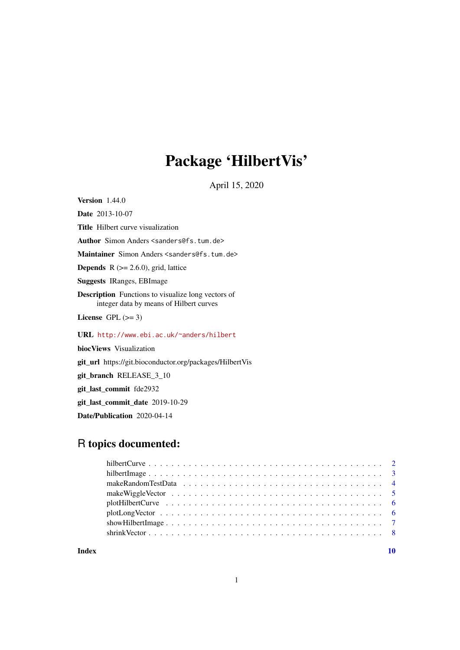## Package 'HilbertVis'

April 15, 2020

<span id="page-0-0"></span>Version 1.44.0

Date 2013-10-07 Title Hilbert curve visualization Author Simon Anders <sanders@fs.tum.de> Maintainer Simon Anders <sanders@fs.tum.de> **Depends**  $R$  ( $> = 2.6.0$ ), grid, lattice Suggests IRanges, EBImage Description Functions to visualize long vectors of integer data by means of Hilbert curves License GPL  $(>= 3)$ URL <http://www.ebi.ac.uk/~anders/hilbert> biocViews Visualization git\_url https://git.bioconductor.org/packages/HilbertVis git\_branch RELEASE\_3\_10 git\_last\_commit fde2932

git\_last\_commit\_date 2019-10-29

Date/Publication 2020-04-14

## R topics documented:

 $\blacksquare$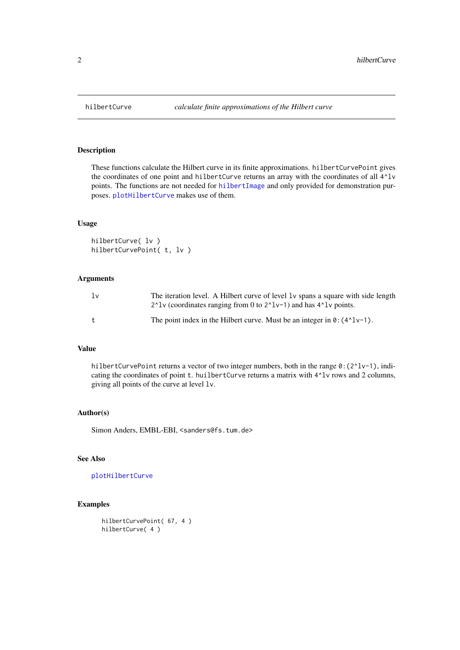#### Description

These functions calculate the Hilbert curve in its finite approximations. hilbertCurvePoint gives the coordinates of one point and hilbertCurve returns an array with the coordinates of all  $4^{\wedge}$ lv points. The functions are not needed for [hilbertImage](#page-2-1) and only provided for demonstration purposes. [plotHilbertCurve](#page-5-1) makes use of them.

## Usage

```
hilbertCurve( lv )
hilbertCurvePoint( t, lv )
```
#### Arguments

| 1v | The iteration level. A Hilbert curve of level 1v spans a square with side length<br>$2^{\lambda}$ and has 4 <sup><math>\lambda</math></sup> lv (coordinates ranging from 0 to $2^{\lambda}$ lv-1) and has 4 $^{\lambda}$ lv points. |
|----|-------------------------------------------------------------------------------------------------------------------------------------------------------------------------------------------------------------------------------------|
|    | The point index in the Hilbert curve. Must be an integer in $\theta$ : (4^1v-1).                                                                                                                                                    |

#### Value

hilbertCurvePoint returns a vector of two integer numbers, both in the range  $0:(2^{\lambda}1v-1)$ , indicating the coordinates of point t. huilbertCurve returns a matrix with  $4^{\wedge}$ lv rows and 2 columns, giving all points of the curve at level lv.

#### Author(s)

Simon Anders, EMBL-EBI, <sanders@fs.tum.de>

#### See Also

## [plotHilbertCurve](#page-5-1)

## Examples

```
hilbertCurvePoint( 67, 4 )
hilbertCurve( 4 )
```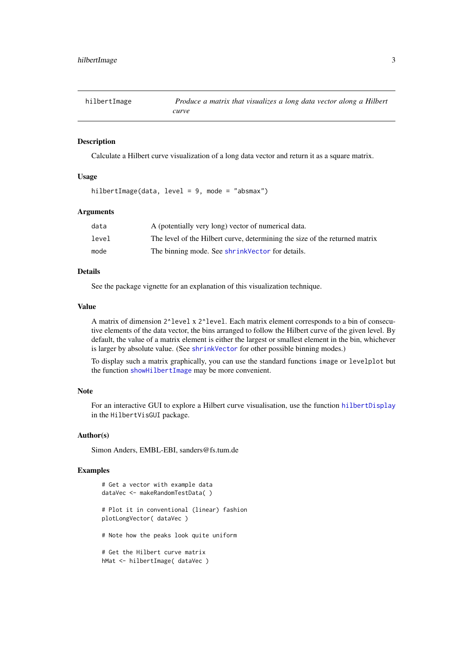<span id="page-2-1"></span><span id="page-2-0"></span>

| hilbertImage | Produce a matrix that visualizes a long data vector along a Hilbert |
|--------------|---------------------------------------------------------------------|
|              | curve                                                               |

#### Description

Calculate a Hilbert curve visualization of a long data vector and return it as a square matrix.

#### Usage

hilbertImage(data, level = 9, mode = "absmax")

#### Arguments

| data  | A (potentially very long) vector of numerical data.                         |
|-------|-----------------------------------------------------------------------------|
| level | The level of the Hilbert curve, determining the size of the returned matrix |
| mode  | The binning mode. See shrink Vector for details.                            |

#### Details

See the package vignette for an explanation of this visualization technique.

#### Value

A matrix of dimension 2^level x 2^level. Each matrix element corresponds to a bin of consecutive elements of the data vector, the bins arranged to follow the Hilbert curve of the given level. By default, the value of a matrix element is either the largest or smallest element in the bin, whichever is larger by absolute value. (See [shrinkVector](#page-7-1) for other possible binning modes.)

To display such a matrix graphically, you can use the standard functions image or levelplot but the function [showHilbertImage](#page-6-1) may be more convenient.

#### Note

For an interactive GUI to explore a Hilbert curve visualisation, use the function [hilbertDisplay](#page-0-0) in the HilbertVisGUI package.

#### Author(s)

Simon Anders, EMBL-EBI, sanders@fs.tum.de

#### Examples

```
# Get a vector with example data
dataVec <- makeRandomTestData( )
# Plot it in conventional (linear) fashion
plotLongVector( dataVec )
# Note how the peaks look quite uniform
# Get the Hilbert curve matrix
hMat <- hilbertImage( dataVec )
```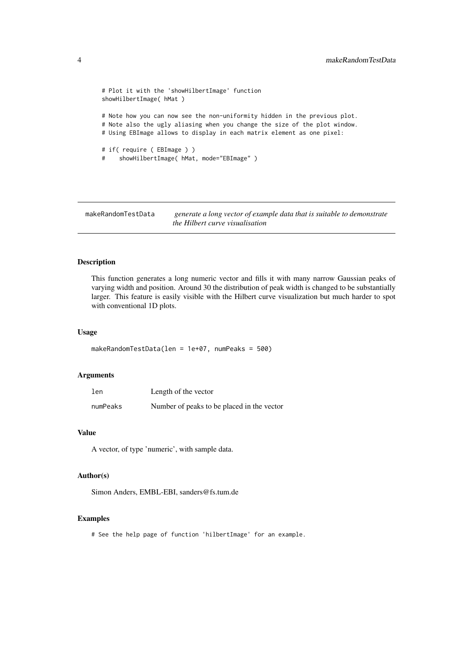```
# Plot it with the 'showHilbertImage' function
showHilbertImage( hMat )
# Note how you can now see the non-uniformity hidden in the previous plot.
# Note also the ugly aliasing when you change the size of the plot window.
# Using EBImage allows to display in each matrix element as one pixel:
# if( require ( EBImage ) )
# showHilbertImage( hMat, mode="EBImage" )
```
makeRandomTestData *generate a long vector of example data that is suitable to demonstrate the Hilbert curve visualisation*

#### Description

This function generates a long numeric vector and fills it with many narrow Gaussian peaks of varying width and position. Around 30 the distribution of peak width is changed to be substantially larger. This feature is easily visible with the Hilbert curve visualization but much harder to spot with conventional 1D plots.

#### Usage

```
makeRandomTestData(len = 1e+07, numPeaks = 500)
```
#### Arguments

| len      | Length of the vector                       |
|----------|--------------------------------------------|
| numPeaks | Number of peaks to be placed in the vector |

#### Value

A vector, of type 'numeric', with sample data.

#### Author(s)

Simon Anders, EMBL-EBI, sanders@fs.tum.de

#### Examples

# See the help page of function 'hilbertImage' for an example.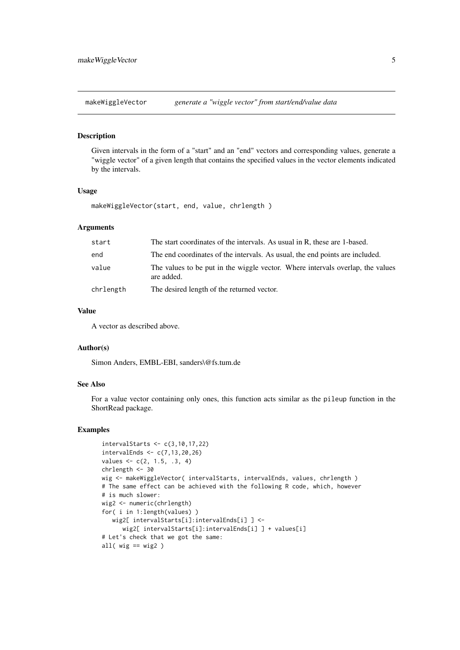<span id="page-4-0"></span>makeWiggleVector *generate a "wiggle vector" from start/end/value data*

#### Description

Given intervals in the form of a "start" and an "end" vectors and corresponding values, generate a "wiggle vector" of a given length that contains the specified values in the vector elements indicated by the intervals.

#### Usage

makeWiggleVector(start, end, value, chrlength )

#### Arguments

| start     | The start coordinates of the intervals. As usual in R, these are 1-based.                    |
|-----------|----------------------------------------------------------------------------------------------|
| end       | The end coordinates of the intervals. As usual, the end points are included.                 |
| value     | The values to be put in the wiggle vector. Where intervals overlap, the values<br>are added. |
| chrlength | The desired length of the returned vector.                                                   |

#### Value

A vector as described above.

#### Author(s)

Simon Anders, EMBL-EBI, sanders\@fs.tum.de

## See Also

For a value vector containing only ones, this function acts similar as the pileup function in the ShortRead package.

#### Examples

```
intervalStarts <- c(3,10,17,22)
intervalEnds \leq c(7, 13, 20, 26)values \leq c(2, 1.5, .3, 4)chrlength <- 30
wig <- makeWiggleVector( intervalStarts, intervalEnds, values, chrlength )
# The same effect can be achieved with the following R code, which, however
# is much slower:
wig2 <- numeric(chrlength)
for( i in 1:length(values) )
   wig2[ intervalStarts[i]:intervalEnds[i] ] <-
      wig2[ intervalStarts[i]:intervalEnds[i] ] + values[i]
# Let's check that we got the same:
all( wig == wig2)
```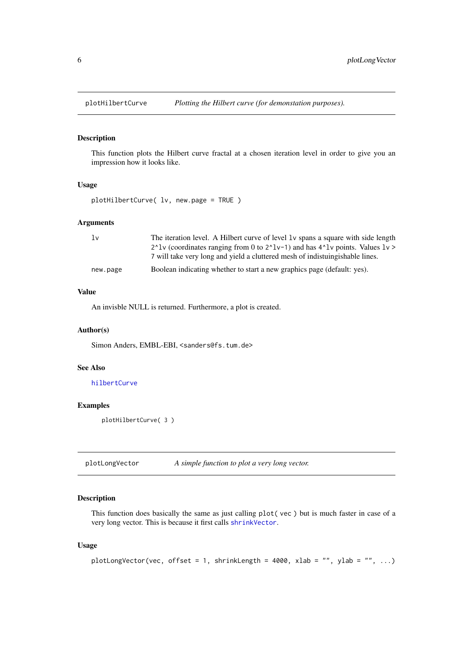<span id="page-5-1"></span><span id="page-5-0"></span>

#### Description

This function plots the Hilbert curve fractal at a chosen iteration level in order to give you an impression how it looks like.

#### Usage

```
plotHilbertCurve( lv, new.page = TRUE )
```
#### Arguments

| 1v       | The iteration level. A Hilbert curve of level 1v spans a square with side length                                                                                             |
|----------|------------------------------------------------------------------------------------------------------------------------------------------------------------------------------|
|          | 2 <sup><math>\lambda</math></sup> lv (coordinates ranging from 0 to 2 <sup><math>\lambda</math></sup> lv-1) and has 4 <sup><math>\lambda</math></sup> lv points. Values lv > |
|          | 7 will take very long and yield a cluttered mesh of indistuing shable lines.                                                                                                 |
| new.page | Boolean indicating whether to start a new graphics page (default: yes).                                                                                                      |

#### Value

An invisble NULL is returned. Furthermore, a plot is created.

#### Author(s)

Simon Anders, EMBL-EBI, <sanders@fs.tum.de>

#### See Also

[hilbertCurve](#page-1-1)

#### Examples

plotHilbertCurve( 3 )

<span id="page-5-2"></span>

#### Description

This function does basically the same as just calling plot( vec ) but is much faster in case of a very long vector. This is because it first calls [shrinkVector](#page-7-1).

## Usage

```
plotLongVector(vec, offset = 1, shrinkLength = 4000, xlab = "", ylab = "", ...)
```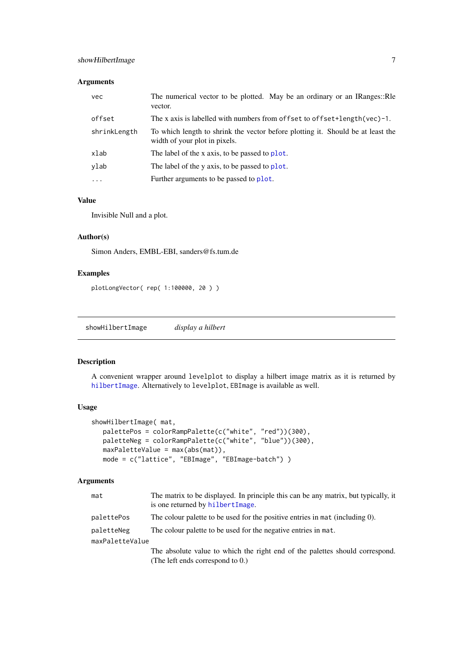#### <span id="page-6-0"></span>Arguments

| vec          | The numerical vector to be plotted. May be an ordinary or an IRanges: Re<br>vector.                              |
|--------------|------------------------------------------------------------------------------------------------------------------|
| offset       | The x axis is labelled with numbers from offset to offset+length(vec)-1.                                         |
| shrinkLength | To which length to shrink the vector before plotting it. Should be at least the<br>width of your plot in pixels. |
| xlab         | The label of the x axis, to be passed to plot.                                                                   |
| ylab         | The label of the y axis, to be passed to plot.                                                                   |
| $\ddotsc$    | Further arguments to be passed to plot.                                                                          |

## Value

Invisible Null and a plot.

#### Author(s)

Simon Anders, EMBL-EBI, sanders@fs.tum.de

#### Examples

```
plotLongVector( rep( 1:100000, 20 ) )
```
<span id="page-6-1"></span>showHilbertImage *display a hilbert*

#### Description

A convenient wrapper around levelplot to display a hilbert image matrix as it is returned by [hilbertImage](#page-2-1). Alternatively to levelplot, EBImage is available as well.

#### Usage

```
showHilbertImage( mat,
  palettePos = colorRampPalette(c("white", "red"))(300),
  paletteNeg = colorRampPalette(c("white", "blue"))(300),
  maxPaletteValue = max(abs(mat)),
  mode = c("lattice", "EBImage", "EBImage-batch") )
```
#### Arguments

| mat             | The matrix to be displayed. In principle this can be any matrix, but typically, it<br>is one returned by hilbertImage. |
|-----------------|------------------------------------------------------------------------------------------------------------------------|
| palettePos      | The colour palette to be used for the positive entries in mat (including 0).                                           |
| paletteNeg      | The colour palette to be used for the negative entries in mat.                                                         |
| maxPaletteValue |                                                                                                                        |
|                 | The absolute value to which the right end of the palettes should correspond.                                           |
|                 | (The left ends correspond to 0.)                                                                                       |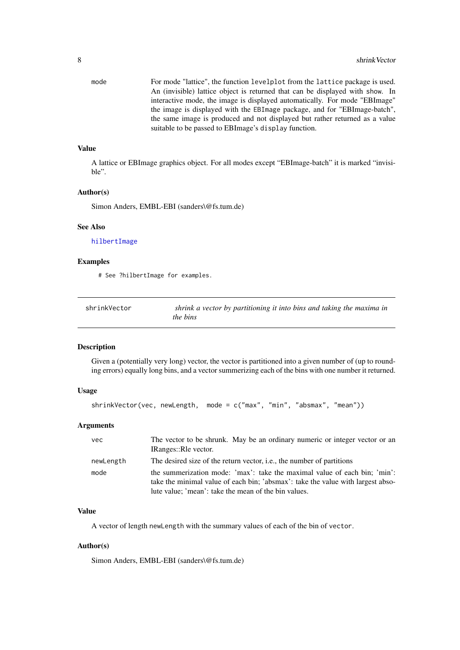<span id="page-7-0"></span>mode For mode "lattice", the function levelplot from the lattice package is used. An (invisible) lattice object is returned that can be displayed with show. In interactive mode, the image is displayed automatically. For mode "EBImage" the image is displayed with the EBImage package, and for "EBImage-batch", the same image is produced and not displayed but rather returned as a value suitable to be passed to EBImage's display function.

## Value

A lattice or EBImage graphics object. For all modes except "EBImage-batch" it is marked "invisible".

#### Author(s)

Simon Anders, EMBL-EBI (sanders\@fs.tum.de)

#### See Also

[hilbertImage](#page-2-1)

#### Examples

# See ?hilbertImage for examples.

<span id="page-7-1"></span>

| shrinkVector | shrink a vector by partitioning it into bins and taking the maxima in |
|--------------|-----------------------------------------------------------------------|
|              | <i>the bins</i>                                                       |

#### Description

Given a (potentially very long) vector, the vector is partitioned into a given number of (up to rounding errors) equally long bins, and a vector summerizing each of the bins with one number it returned.

#### Usage

```
shrinkVector(vec, newLength, mode = c("max", "min", "absmax", "mean"))
```
#### Arguments

| vec       | The vector to be shrunk. May be an ordinary numeric or integer vector or an<br>IRanges::Rle vector.                                                                                                                  |
|-----------|----------------------------------------------------------------------------------------------------------------------------------------------------------------------------------------------------------------------|
| newLength | The desired size of the return vector, <i>i.e.</i> , the number of partitions                                                                                                                                        |
| mode      | the summerization mode: 'max': take the maximal value of each bin; 'min':<br>take the minimal value of each bin; 'absmax': take the value with largest abso-<br>lute value; 'mean': take the mean of the bin values. |

#### Value

A vector of length newLength with the summary values of each of the bin of vector.

#### Author(s)

Simon Anders, EMBL-EBI (sanders\@fs.tum.de)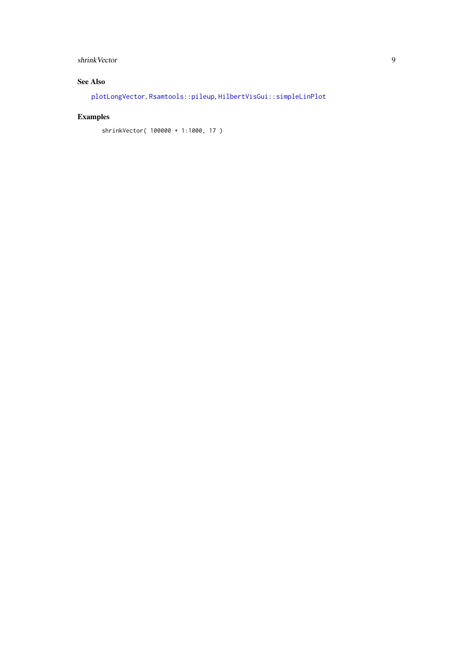## <span id="page-8-0"></span>shrinkVector 9

## See Also

[plotLongVector](#page-5-2), [Rsamtools::pileup](#page-0-0), [HilbertVisGui::simpleLinPlot](#page-0-0)

## Examples

shrinkVector( 100000 + 1:1000, 17 )